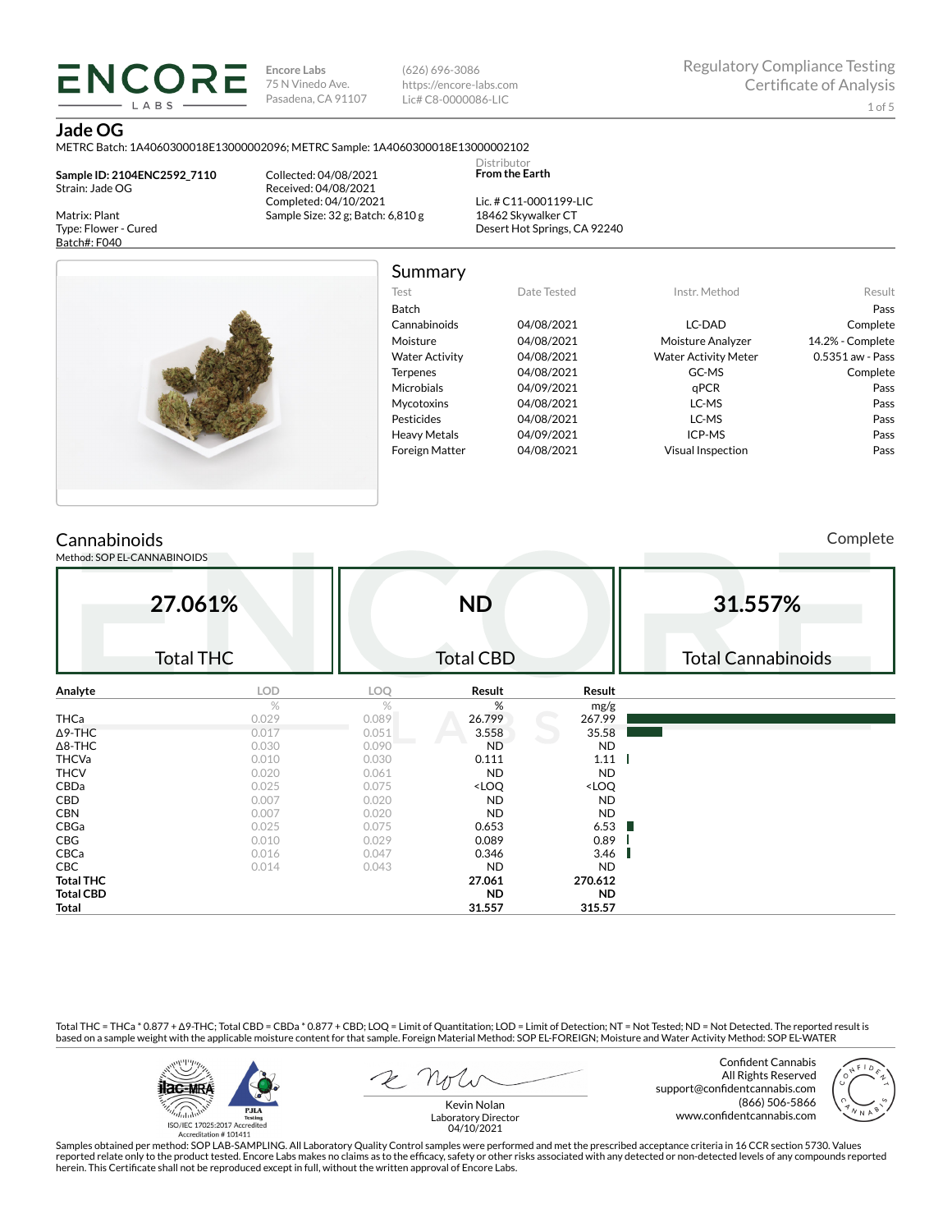**Encore Labs** 75 N Vinedo Ave. Pasadena, CA 91107

(626) 696-3086 https://encore-labs.com Lic# C8-0000086-LIC

Summary

Distributor **From the Earth**

# **Jade OG**

METRC Batch: 1A4060300018E13000002096; METRC Sample: 1A4060300018E13000002102

**Sample ID: 2104ENC2592\_7110** Strain: Jade OG

**ENCORI** LABS

Matrix: Plant Type: Flower - Cured Batch#: F040

Collected: 04/08/2021 Received: 04/08/2021 Completed: 04/10/2021 Sample Size: 32 g; Batch: 6,810 g

Lic. # C11-0001199-LIC 18462 Skywalker CT Desert Hot Springs, CA 92240



Test Date Tested Instr. Method Result Batch Pass Cannabinoids 04/08/2021 LC-DAD Complete Moisture 04/08/2021 Moisture Analyzer 14.2% - Complete Water Activity  $04/08/2021$  Water Activity Meter 0.5351 aw - Pass Terpenes 04/08/2021 GC-MS Complete Microbials 04/09/2021 qPCR Pass Mycotoxins 04/08/2021 LC-MS Pass Pesticides 04/08/2021 LC-MS Pass Heavy Metals 04/09/2021 ICP-MS Pass Foreign Matter 04/08/2021 Visual Inspection Pass

# **Cannabinoids**

Method: SOP EL-CANNABINOIDS

Complete

|                  | 27.061%<br><b>Total THC</b> |       | <b>ND</b><br><b>Total CBD</b>                            |                              | 31.557%<br><b>Total Cannabinoids</b> |
|------------------|-----------------------------|-------|----------------------------------------------------------|------------------------------|--------------------------------------|
| Analyte          | <b>LOD</b>                  | LOQ   | Result                                                   | Result                       |                                      |
|                  | $\%$                        | $\%$  | %                                                        | mg/g                         |                                      |
| <b>THCa</b>      | 0.029                       | 0.089 | 26.799                                                   | 267.99                       |                                      |
| $\Delta$ 9-THC   | 0.017                       | 0.051 | 3.558                                                    | 35.58                        |                                      |
| $\Delta$ 8-THC   | 0.030                       | 0.090 | <b>ND</b>                                                | <b>ND</b>                    |                                      |
| <b>THCVa</b>     | 0.010                       | 0.030 | 0.111                                                    | $1.11$                       |                                      |
| <b>THCV</b>      | 0.020                       | 0.061 | <b>ND</b>                                                | <b>ND</b>                    |                                      |
| CBDa             | 0.025                       | 0.075 | <loq< td=""><td><loq< td=""><td></td></loq<></td></loq<> | <loq< td=""><td></td></loq<> |                                      |
| CBD              | 0.007                       | 0.020 | <b>ND</b>                                                | <b>ND</b>                    |                                      |
| <b>CBN</b>       | 0.007                       | 0.020 | <b>ND</b>                                                | <b>ND</b>                    |                                      |
| CBGa             | 0.025                       | 0.075 | 0.653                                                    | 6.53                         |                                      |
| CBG              | 0.010                       | 0.029 | 0.089                                                    | 0.89                         |                                      |
| CBCa             | 0.016                       | 0.047 | 0.346                                                    | 3.46                         |                                      |
| <b>CBC</b>       | 0.014                       | 0.043 | <b>ND</b>                                                | <b>ND</b>                    |                                      |
| <b>Total THC</b> |                             |       | 27.061                                                   | 270.612                      |                                      |
| <b>Total CBD</b> |                             |       | <b>ND</b>                                                | <b>ND</b>                    |                                      |
| Total            |                             |       | 31.557                                                   | 315.57                       |                                      |

Total THC = THCa \* 0.877 + ∆9-THC; Total CBD = CBDa \* 0.877 + CBD; LOQ = Limit of Quantitation; LOD = Limit of Detection; NT = Not Tested; ND = Not Detected. The reported result is based on a sample weight with the applicable moisture content for that sample. Foreign Material Method: SOP EL-FOREIGN; Moisture and Water Activity Method: SOP EL-WATER



Confident Cannabis All Rights Reserved support@confidentcannabis.com (866) 506-5866 www.confidentcannabis.com



Kevin Nolan Laboratory Director 04/10/2021

Samples obtained per method: SOP LAB-SAMPLING. All Laboratory Quality Control samples were performed and met the prescribed acceptance criteria in 16 CCR section 5730. Values reported relate only to the product tested. Encore Labs makes no claims as to the efficacy, safety or other risks associated with any detected or non-detected levels of any compounds reported<br>herein. This Certificate shall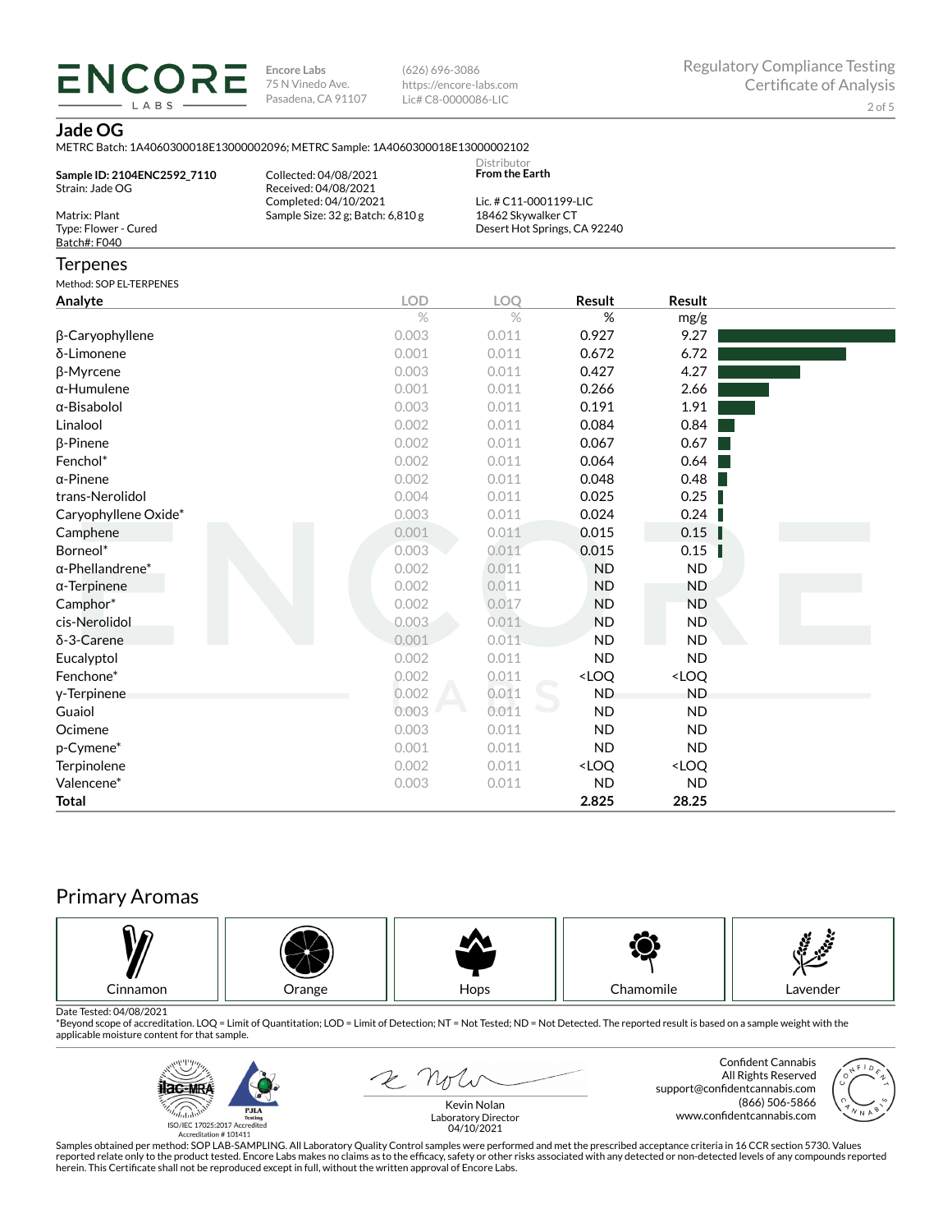**ENCORE Encore Labs** 75 N Vinedo Ave. Pasadena, CA 91107

(626) 696-3086 https://encore-labs.com Lic# C8-0000086-LIC

**Jade OG**

LABS

|                                                       | METRC Batch: 1A4060300018E13000002096; METRC Sample: 1A4060300018E13000002102 |                                              |                                                          |                              |  |
|-------------------------------------------------------|-------------------------------------------------------------------------------|----------------------------------------------|----------------------------------------------------------|------------------------------|--|
| Sample ID: 2104ENC2592_7110<br>Strain: Jade OG        | Collected: 04/08/2021<br>Received: 04/08/2021                                 | Distributor<br><b>From the Earth</b>         |                                                          |                              |  |
| Matrix: Plant<br>Type: Flower - Cured<br>Batch#: F040 | Completed: 04/10/2021<br>Sample Size: 32 g; Batch: 6,810 g                    | Lic. # C11-0001199-LIC<br>18462 Skywalker CT | Desert Hot Springs, CA 92240                             |                              |  |
| Terpenes                                              |                                                                               |                                              |                                                          |                              |  |
| Method: SOP EL-TERPENES                               |                                                                               |                                              |                                                          |                              |  |
| Analyte                                               | <b>LOD</b>                                                                    | <b>LOQ</b>                                   | Result                                                   | Result                       |  |
|                                                       | $\%$                                                                          | $\%$                                         | %                                                        | mg/g                         |  |
| β-Caryophyllene                                       | 0.003                                                                         | 0.011                                        | 0.927                                                    | 9.27                         |  |
| δ-Limonene                                            | 0.001                                                                         | 0.011                                        | 0.672                                                    | 6.72                         |  |
| β-Myrcene                                             | 0.003                                                                         | 0.011                                        | 0.427                                                    | 4.27                         |  |
| α-Humulene                                            | 0.001                                                                         | 0.011                                        | 0.266                                                    | 2.66                         |  |
| α-Bisabolol                                           | 0.003                                                                         | 0.011                                        | 0.191                                                    | 1.91                         |  |
| Linalool                                              | 0.002                                                                         | 0.011                                        | 0.084                                                    | 0.84                         |  |
| β-Pinene                                              | 0.002                                                                         | 0.011                                        | 0.067                                                    | 0.67                         |  |
| Fenchol*                                              | 0.002                                                                         | 0.011                                        | 0.064                                                    | 0.64                         |  |
| α-Pinene                                              | 0.002                                                                         | 0.011                                        | 0.048                                                    | 0.48                         |  |
| trans-Nerolidol                                       | 0.004                                                                         | 0.011                                        | 0.025                                                    | 0.25                         |  |
| Caryophyllene Oxide*                                  | 0.003                                                                         | 0.011                                        | 0.024                                                    | 0.24                         |  |
| Camphene                                              | 0.001                                                                         | 0.011                                        | 0.015                                                    | 0.15                         |  |
| Borneol*                                              | 0.003                                                                         | 0.011                                        | 0.015                                                    | 0.15                         |  |
| $\alpha$ -Phellandrene $^*$                           | 0.002                                                                         | 0.011                                        | <b>ND</b>                                                | <b>ND</b>                    |  |
| α-Terpinene                                           | 0.002                                                                         | 0.011                                        | <b>ND</b>                                                | <b>ND</b>                    |  |
| Camphor*                                              | 0.002                                                                         | 0.017                                        | <b>ND</b>                                                | <b>ND</b>                    |  |
| cis-Nerolidol                                         | 0.003                                                                         | 0.011                                        | <b>ND</b>                                                | <b>ND</b>                    |  |
| δ-3-Carene                                            | 0.001                                                                         | 0.011                                        | <b>ND</b>                                                | <b>ND</b>                    |  |
| Eucalyptol                                            | 0.002                                                                         | 0.011                                        | <b>ND</b>                                                | <b>ND</b>                    |  |
| Fenchone*                                             | 0.002                                                                         | 0.011                                        | <loo< td=""><td><loo< td=""><td></td></loo<></td></loo<> | <loo< td=""><td></td></loo<> |  |

ƀ-Terpinene 0.002 0.011 ND ND Guaiol 0.003 0.011 ND ND Ocimene 0.003 0.011 ND ND p-Cymene\* 0.001 0.011 ND ND Terpinolene <LOQ <LOQ <LOQ Valencene\* 0.003 0.011 ND ND **Total 2.825 28.25**

# Primary Aromas



Date Tested: 04/08/2021<br>\*Beyond scope of accreditation. LOQ = Limit of Quantitation; LOD = Limit of Detection; NT = Not Tested; ND = Not Detected. The reported result is based on a sample weight with the applicable moisture content for that sample.



R Not

Confident Cannabis All Rights Reserved support@confidentcannabis.com (866) 506-5866 www.confidentcannabis.com



Kevin Nolan Laboratory Director 04/10/2021

Samples obtained per method: SOP LAB-SAMPLING. All Laboratory Quality Control samples were performed and met the prescribed acceptance criteria in 16 CCR section 5730. Values reported relate only to the product tested. Encore Labs makes no claims as to the efficacy, safety or other risks associated with any detected or non-detected levels of any compounds reported<br>herein. This Certificate shall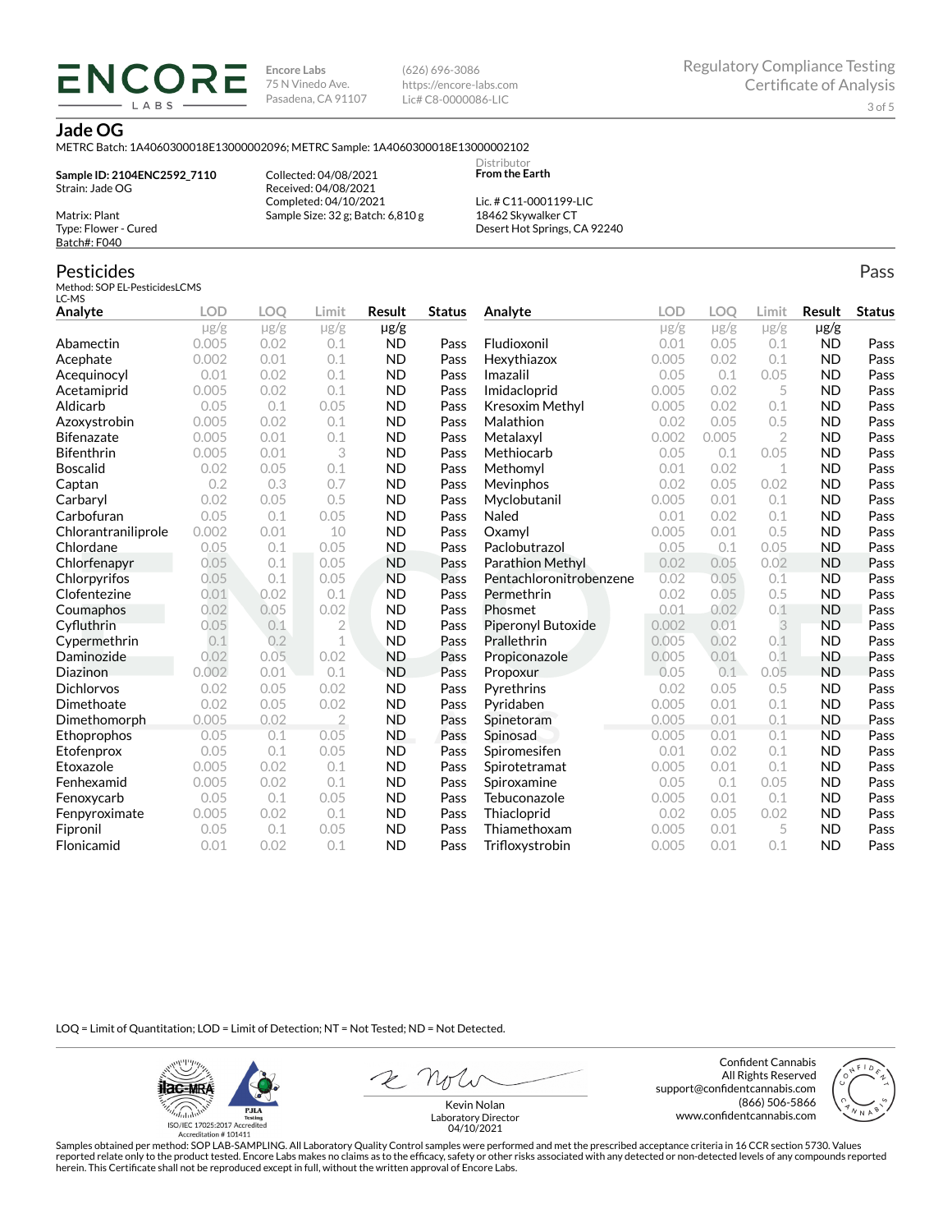**Encore Labs** 75 N Vinedo Ave. Pasadena, CA 91107 (626) 696-3086 https://encore-labs.com Lic# C8-0000086-LIC

> **Distributor From the Earth**

# **Jade OG**

Matrix: Plant Type: Flower - Cured Batch#: F040

Pesticides

METRC Batch: 1A4060300018E13000002096; METRC Sample: 1A4060300018E13000002102

**Sample ID: 2104ENC2592\_7110** Strain: Jade OG

**ENCORE** LABS

> Collected: 04/08/2021 Received: 04/08/2021 Completed: 04/10/2021 Sample Size: 32 g; Batch: 6,810 g

Lic. # C11-0001199-LIC 18462 Skywalker CT Desert Hot Springs, CA 92240

#### Method: SOP EL-PesticidesLCMS LC-MS **Analyte LOD LOQ Limit Result Status**  $\mu$ g/g  $\mu$ g/g  $\mu$ g/g  $\mu$ g/g Abamectin 0.005 0.02 0.1 ND Pass Acephate 0.002 0.01 0.1 ND Pass Acequinocyl 0.01 0.02 0.1 ND Pass Acetamiprid 0.005 0.02 0.1 ND Pass Aldicarb 0.05 0.1 0.05 ND Pass Azoxystrobin 0.005 0.02 0.1 ND Pass Bifenazate 0.005 0.01 0.1 ND Pass Bifenthrin 0.005 0.01 3 ND Pass Boscalid 0.02 0.05 0.1 ND Pass **Captan 12 0.2 0.3 0.7 ND Pass Carbaryl 0.02 0.05 0.5 ND Pass** Carbofuran 0.05 0.1 0.05 ND Pass Chlorantraniliprole 0.002 0.01 10 ND Pass Chlordane 0.05 0.1 0.05 ND Pass Chlorfenapyr 0.05 0.1 0.05 ND Pass Chlorpyrifos 0.05 0.1 0.05 ND Pass Clofentezine 0.01 0.02 0.1 ND Pass Coumaphos 0.02 0.05 0.02 ND Pass Cyfluthrin 0.05 0.1 2 ND Pass Cypermethrin 0.1 0.2 1 ND Pass Daminozide 0.02 0.05 0.02 ND Pass **Diazinon** 0.002 0.01 0.1 ND Pass Dichlorvos 0.02 0.05 0.02 ND Pass Dimethoate 0.02 0.05 0.02 ND Pass Dimethomorph 0.005 0.02 2 ND Pass Ethoprophos 0.05 0.1 0.05 ND Pass Etofenprox 0.05 0.1 0.05 ND Pass Etoxazole 0.005 0.02 0.1 ND Pass Fenhexamid 0.005 0.02 0.1 ND Pass Fenoxycarb 0.05 0.1 0.05 ND Pass Fenpyroximate 0.005 0.02 0.1 ND Pass Fipronil 0.05 0.1 0.05 ND Pass Flonicamid 0.01 0.02 0.1 ND Pass **Analyte LOD LOQ Limit Result Status**  $\mu$ g/g  $\mu$ g/g  $\mu$ g/g  $\mu$ g/g Fludioxonil 0.01 0.05 0.1 ND Pass Hexythiazox 0.005 0.02 0.1 ND Pass **Imazalil 11 0.05 0.1 0.05 ND Pass** Imidacloprid 0.005 0.02 5 ND Pass Kresoxim Methyl  $0.005$  0.02 0.1 ND Pass **Malathion** 0.02 0.05 0.5 **ND Pass** Metalaxyl 0.002 0.005 2 ND Pass Methiocarb 0.05 0.1 0.05 ND Pass **Methomyl** 0.01 0.02 1 **ND Pass** Mevinphos 0.02 0.05 0.02 ND Pass Myclobutanil 0.005 0.01 0.1 ND Pass **Naled 1200 0.01 0.02 0.1 ND Pass Oxamyl** 0.005 0.01 0.5 **ND Pass** Paclobutrazol 0.05 0.1 0.05 ND Pass Parathion Methyl 0.02 0.05 0.02 ND Pass Pentachloronitrobenzene 0.02 0.05 0.1 ND Pass Permethrin 0.02 0.05 0.5 ND Pass Phosmet 0.01 0.02 0.1 ND Pass Piperonyl Butoxide 0.002 0.01 3 ND Pass Prallethrin 0.005 0.02 0.1 ND Pass Propiconazole 0.005 0.01 0.1 ND Pass **Propoxur 1988 0.05 0.1 0.05 ND Pass** Pyrethrins 0.02 0.05 0.5 ND Pass **Pyridaben 1988 0.005 0.01 0.1 ND Pass Spinetoram 0.005 0.01 0.1 ND Pass** Spinosad 0.005 0.01 0.1 ND Pass Spiromesifen 0.01 0.02 0.1 ND Pass Spirotetramat 0.005 0.01 0.1 ND Pass Spiroxamine 0.05 0.1 0.05 ND Pass Tebuconazole 0.005 0.01 0.1 ND Pass Thiacloprid 0.02 0.05 0.02 ND Pass Thiamethoxam 0.005 0.01 5 ND Pass Trifloxystrobin 0.005 0.01 0.1 ND Pass

LOQ = Limit of Quantitation; LOD = Limit of Detection; NT = Not Tested; ND = Not Detected.

**Hac-MRA PJLA**  $d_{\rm obs}$ ISO/IEC 17025:2017 Accredited

Accreditation #101411

Z Note

Confident Cannabis All Rights Reserved support@confidentcannabis.com (866) 506-5866 www.confidentcannabis.com



Kevin Nolan Laboratory Director 04/10/2021

Samples obtained per method: SOP LAB-SAMPLING. All Laboratory Quality Control samples were performed and met the prescribed acceptance criteria in 16 CCR section 5730. Values reported relate only to the product tested. Encore Labs makes no claims as to the efficacy, safety or other risks associated with any detected or non-detected levels of any compounds reported herein. This Certificate shall not be reproduced except in full, without the written approval of Encore Labs.

Pass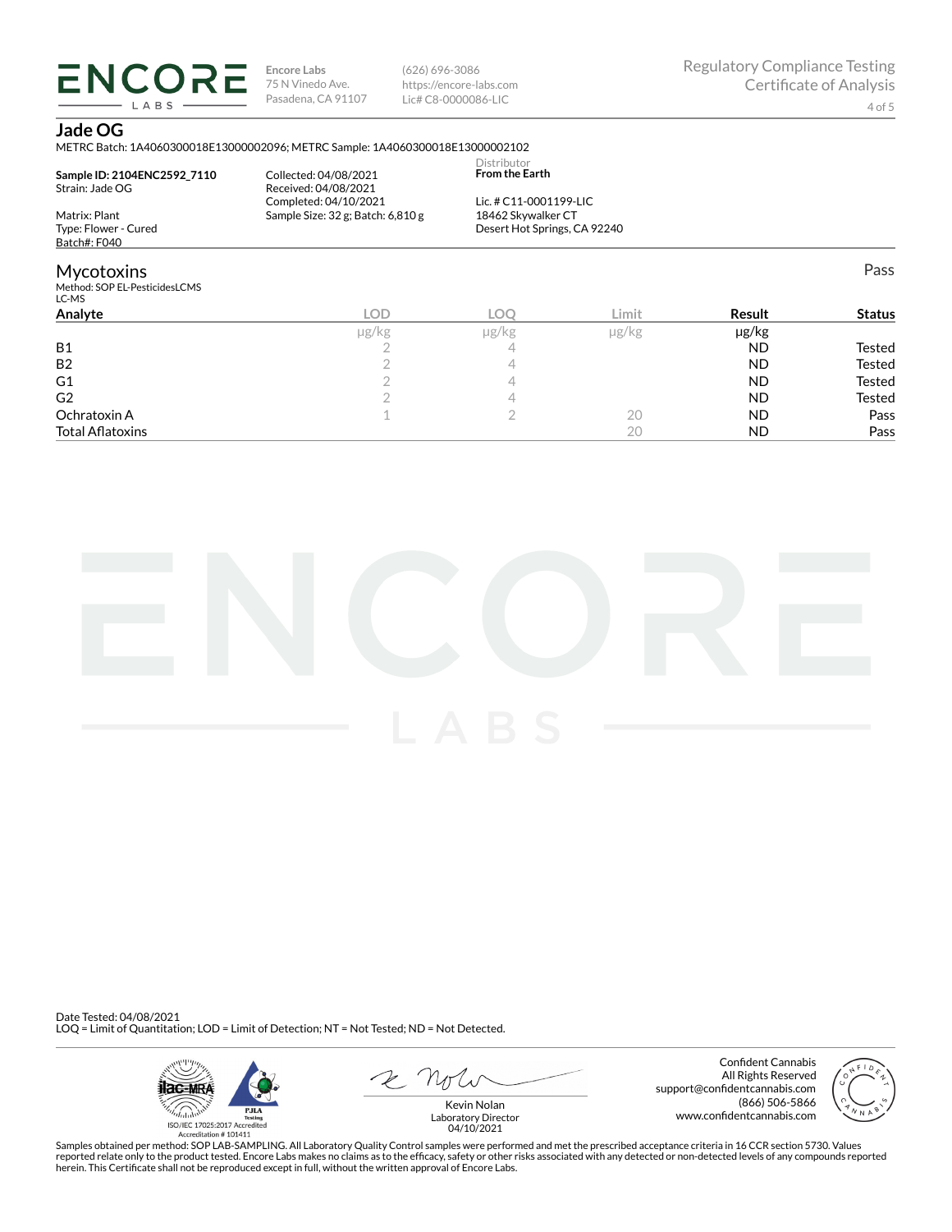**ENCORE** LABS

**Encore Labs** 75 N Vinedo Ave. Pasadena, CA 91107

(626) 696-3086 https://encore-labs.com Lic# C8-0000086-LIC

# **Jade OG**

METRC Batch: 1A4060300018E13000002096; METRC Sample: 1A4060300018E13000002102

| Sample ID: 2104ENC2592 7110<br>Strain: Jade OG              | Collected: 04/08/2021<br>Received: 04/08/2021<br>Completed: 04/10/2021 | Distributor<br><b>From the Earth</b><br>Lic. # C11-0001199-LIC |       |               |               |
|-------------------------------------------------------------|------------------------------------------------------------------------|----------------------------------------------------------------|-------|---------------|---------------|
| Matrix: Plant<br>Type: Flower - Cured                       | Sample Size: 32 g; Batch: 6,810 g                                      | 18462 Skywalker CT<br>Desert Hot Springs, CA 92240             |       |               |               |
| Batch#: F040                                                |                                                                        |                                                                |       |               |               |
| <b>Mycotoxins</b><br>Method: SOP EL-PesticidesLCMS<br>LC-MS |                                                                        |                                                                |       |               | Pass          |
| Analvte                                                     | <b>LOD</b>                                                             | LOO                                                            | Limit | <b>Result</b> | <b>Status</b> |
|                                                             | ug/kg                                                                  | ug/kg                                                          | ug/kg | ug/kg         |               |

|                         | µg/kg | $\mu$ g/kg | µg/kg | µg/kg     |               |
|-------------------------|-------|------------|-------|-----------|---------------|
| <b>B1</b>               |       |            |       | <b>ND</b> | Tested        |
| B <sub>2</sub>          |       |            |       | <b>ND</b> | <b>Tested</b> |
| G <sub>1</sub>          |       |            |       | <b>ND</b> | <b>Tested</b> |
| G <sub>2</sub>          |       |            |       | <b>ND</b> | <b>Tested</b> |
| Ochratoxin A            |       |            | 20    | <b>ND</b> | Pass          |
| <b>Total Aflatoxins</b> |       |            | 2Ο    | <b>ND</b> | Pass          |



Date Tested: 04/08/2021 LOQ = Limit of Quantitation; LOD = Limit of Detection; NT = Not Tested; ND = Not Detected.



 $R$  Mr

Confident Cannabis All Rights Reserved support@confidentcannabis.com (866) 506-5866 www.confidentcannabis.com



Kevin Nolan Laboratory Director 04/10/2021

Samples obtained per method: SOP LAB-SAMPLING. All Laboratory Quality Control samples were performed and met the prescribed acceptance criteria in 16 CCR section 5730. Values reported relate only to the product tested. Encore Labs makes no claims as to the efficacy, safety or other risks associated with any detected or non-detected levels of any compounds reported<br>herein. This Certificate shall